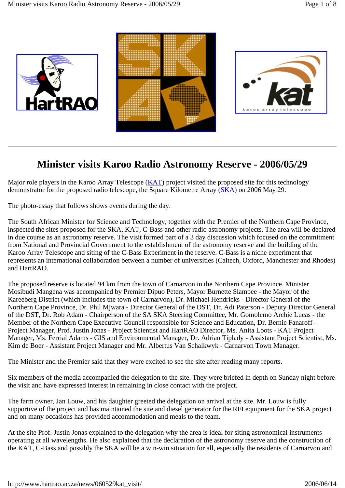

## **Minister visits Karoo Radio Astronomy Reserve - 2006/05/29**

Major role players in the Karoo Array Telescope (KAT) project visited the proposed site for this technology demonstrator for the proposed radio telescope, the Square Kilometre Array (SKA) on 2006 May 29.

The photo-essay that follows shows events during the day.

The South African Minister for Science and Technology, together with the Premier of the Northern Cape Province, inspected the sites proposed for the SKA, KAT, C-Bass and other radio astronomy projects. The area will be declared in due course as an astronomy reserve. The visit formed part of a 3 day discussion which focused on the commitment from National and Provincial Government to the establishment of the astronomy reserve and the building of the Karoo Array Telescope and siting of the C-Bass Experiment in the reserve. C-Bass is a niche experiment that represents an international collaboration between a number of universities (Caltech, Oxford, Manchester and Rhodes) and HartRAO.

The proposed reserve is located 94 km from the town of Carnarvon in the Northern Cape Province. Minister Mosibudi Mangena was accompanied by Premier Dipuo Peters, Mayor Burnette Slambee - the Mayor of the Kareeberg District (which includes the town of Carnarvon), Dr. Michael Hendricks - Director General of the Northern Cape Province, Dr. Phil Mjwara - Director General of the DST, Dr. Adi Paterson - Deputy Director General of the DST, Dr. Rob Adam - Chairperson of the SA SKA Steering Committee, Mr. Gomolemo Archie Lucas - the Member of the Northern Cape Executive Council responsible for Science and Education, Dr. Bernie Fanaroff - Project Manager, Prof. Justin Jonas - Project Scientist and HartRAO Director, Ms. Anita Loots - KAT Project Manager, Ms. Ferrial Adams - GIS and Environmental Manager, Dr. Adrian Tiplady - Assistant Project Scientist, Ms. Kim de Boer - Assistant Project Manager and Mr. Albertus Van Schalkwyk - Carnarvon Town Manager.

The Minister and the Premier said that they were excited to see the site after reading many reports.

Six members of the media accompanied the delegation to the site. They were briefed in depth on Sunday night before the visit and have expressed interest in remaining in close contact with the project.

The farm owner, Jan Louw, and his daughter greeted the delegation on arrival at the site. Mr. Louw is fully supportive of the project and has maintained the site and diesel generator for the RFI equipment for the SKA project and on many occasions has provided accommodation and meals to the team.

At the site Prof. Justin Jonas explained to the delegation why the area is ideal for siting astronomical instruments operating at all wavelengths. He also explained that the declaration of the astronomy reserve and the construction of the KAT, C-Bass and possibly the SKA will be a win-win situation for all, especially the residents of Carnarvon and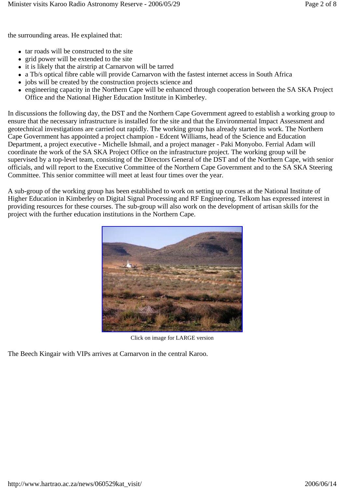the surrounding areas. He explained that:

- tar roads will be constructed to the site
- grid power will be extended to the site
- it is likely that the airstrip at Carnarvon will be tarred
- a Tb/s optical fibre cable will provide Carnarvon with the fastest internet access in South Africa
- jobs will be created by the construction projects science and
- engineering capacity in the Northern Cape will be enhanced through cooperation between the SA SKA Project Office and the National Higher Education Institute in Kimberley.

In discussions the following day, the DST and the Northern Cape Government agreed to establish a working group to ensure that the necessary infrastructure is installed for the site and that the Environmental Impact Assessment and geotechnical investigations are carried out rapidly. The working group has already started its work. The Northern Cape Government has appointed a project champion - Edcent Williams, head of the Science and Education Department, a project executive - Michelle Ishmail, and a project manager - Paki Monyobo. Ferrial Adam will coordinate the work of the SA SKA Project Office on the infrastructure project. The working group will be supervised by a top-level team, consisting of the Directors General of the DST and of the Northern Cape, with senior officials, and will report to the Executive Committee of the Northern Cape Government and to the SA SKA Steering Committee. This senior committee will meet at least four times over the year.

A sub-group of the working group has been established to work on setting up courses at the National Institute of Higher Education in Kimberley on Digital Signal Processing and RF Engineering. Telkom has expressed interest in providing resources for these courses. The sub-group will also work on the development of artisan skills for the project with the further education institutions in the Northern Cape.



Click on image for LARGE version

The Beech Kingair with VIPs arrives at Carnarvon in the central Karoo.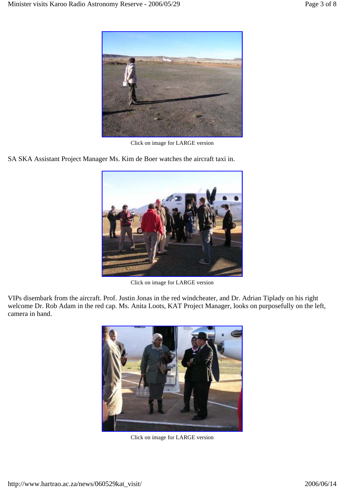

Click on image for LARGE version

SA SKA Assistant Project Manager Ms. Kim de Boer watches the aircraft taxi in.



Click on image for LARGE version

VIPs disembark from the aircraft. Prof. Justin Jonas in the red windcheater, and Dr. Adrian Tiplady on his right welcome Dr. Rob Adam in the red cap. Ms. Anita Loots, KAT Project Manager, looks on purposefully on the left, camera in hand.



Click on image for LARGE version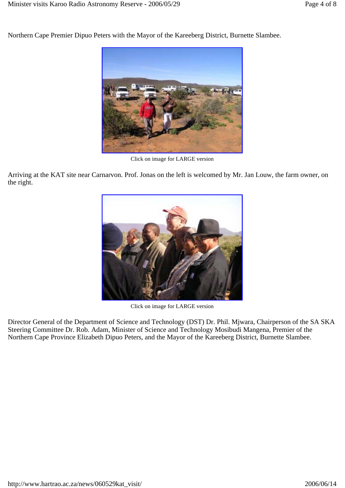Northern Cape Premier Dipuo Peters with the Mayor of the Kareeberg District, Burnette Slambee.



Click on image for LARGE version

Arriving at the KAT site near Carnarvon. Prof. Jonas on the left is welcomed by Mr. Jan Louw, the farm owner, on the right.



Click on image for LARGE version

Director General of the Department of Science and Technology (DST) Dr. Phil. Mjwara, Chairperson of the SA SKA Steering Committee Dr. Rob. Adam, Minister of Science and Technology Mosibudi Mangena, Premier of the Northern Cape Province Elizabeth Dipuo Peters, and the Mayor of the Kareeberg District, Burnette Slambee.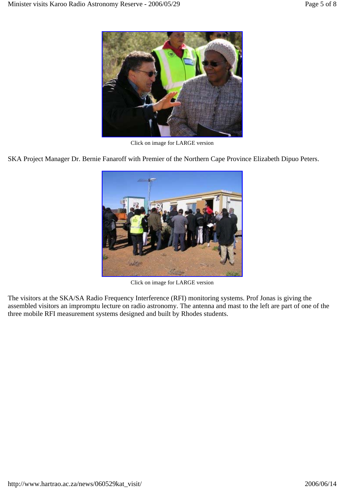

Click on image for LARGE version

SKA Project Manager Dr. Bernie Fanaroff with Premier of the Northern Cape Province Elizabeth Dipuo Peters.



Click on image for LARGE version

The visitors at the SKA/SA Radio Frequency Interference (RFI) monitoring systems. Prof Jonas is giving the assembled visitors an impromptu lecture on radio astronomy. The antenna and mast to the left are part of one of the three mobile RFI measurement systems designed and built by Rhodes students.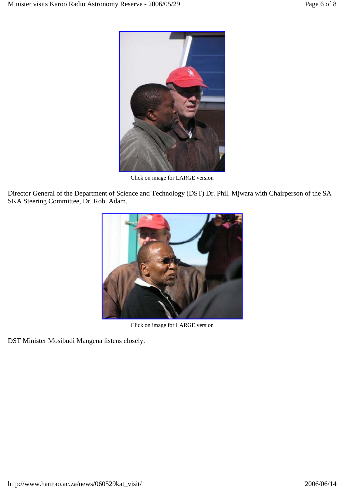

Click on image for LARGE version

Director General of the Department of Science and Technology (DST) Dr. Phil. Mjwara with Chairperson of the SA SKA Steering Committee, Dr. Rob. Adam.



Click on image for LARGE version

DST Minister Mosibudi Mangena listens closely.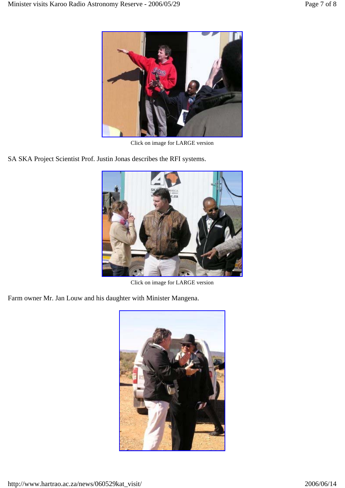

Click on image for LARGE version

SA SKA Project Scientist Prof. Justin Jonas describes the RFI systems.



Click on image for LARGE version

Farm owner Mr. Jan Louw and his daughter with Minister Mangena.